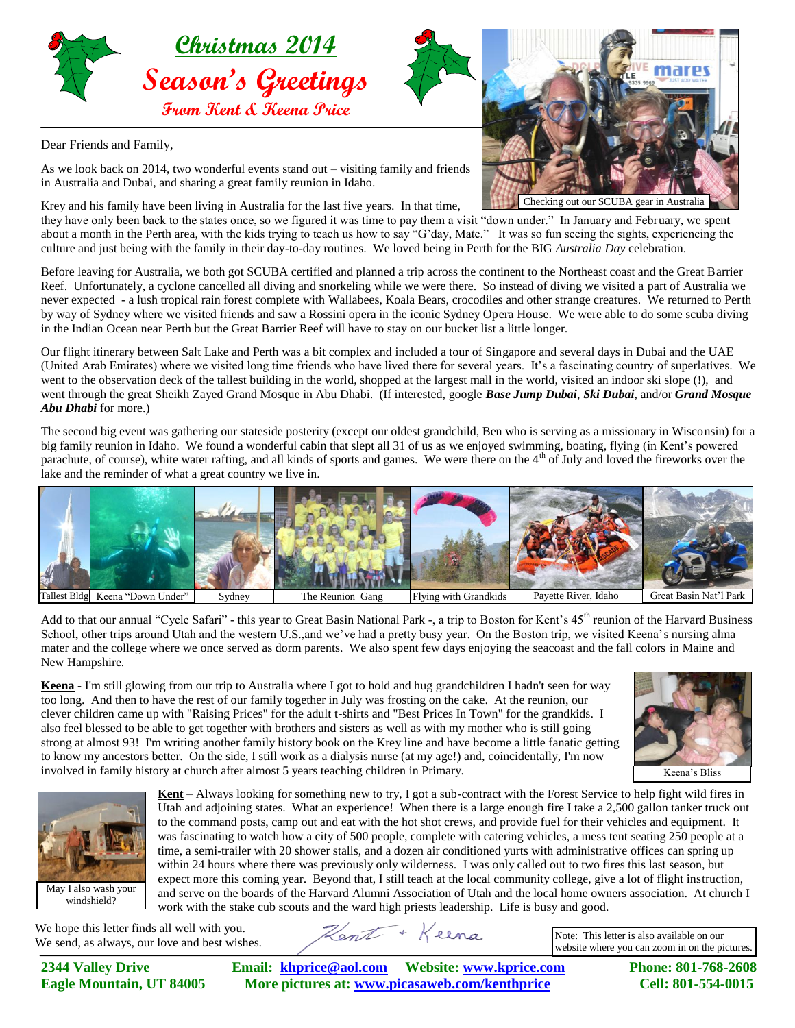

Dear Friends and Family,

As we look back on 2014, two wonderful events stand out – visiting family and friends in Australia and Dubai, and sharing a great family reunion in Idaho.

Krey and his family have been living in Australia for the last five years. In that time, they have only been back to the states once, so we figured it was time to pay them a visit "down under." In January and February, we spent about a month in the Perth area, with the kids trying to teach us how to say "G'day, Mate." It was so fun seeing the sights, experiencing the culture and just being with the family in their day-to-day routines. We loved being in Perth for the BIG *Australia Day* celebration.

Before leaving for Australia, we both got SCUBA certified and planned a trip across the continent to the Northeast coast and the Great Barrier Reef. Unfortunately, a cyclone cancelled all diving and snorkeling while we were there. So instead of diving we visited a part of Australia we never expected - a lush tropical rain forest complete with Wallabees, Koala Bears, crocodiles and other strange creatures. We returned to Perth by way of Sydney where we visited friends and saw a Rossini opera in the iconic Sydney Opera House. We were able to do some scuba diving in the Indian Ocean near Perth but the Great Barrier Reef will have to stay on our bucket list a little longer.

Our flight itinerary between Salt Lake and Perth was a bit complex and included a tour of Singapore and several days in Dubai and the UAE (United Arab Emirates) where we visited long time friends who have lived there for several years. It's a fascinating country of superlatives. We went to the observation deck of the tallest building in the world, shopped at the largest mall in the world, visited an indoor ski slope (!), and went through the great Sheikh Zayed Grand Mosque in Abu Dhabi. (If interested, google *Base Jump Dubai*, *Ski Dubai*, and/or *Grand Mosque Abu Dhabi* for more.)

The second big event was gathering our stateside posterity (except our oldest grandchild, Ben who is serving as a missionary in Wisconsin) for a big family reunion in Idaho. We found a wonderful cabin that slept all 31 of us as we enjoyed swimming, boating, flying (in Kent's powered parachute, of course), white water rafting, and all kinds of sports and games. We were there on the 4<sup>th</sup> of July and loved the fireworks over the lake and the reminder of what a great country we live in.



Add to that our annual "Cycle Safari" - this year to Great Basin National Park -, a trip to Boston for Kent's  $45<sup>th</sup>$  reunion of the Harvard Business School, other trips around Utah and the western U.S.,and we've had a pretty busy year. On the Boston trip, we visited Keena's nursing alma mater and the college where we once served as dorm parents. We also spent few days enjoying the seacoast and the fall colors in Maine and New Hampshire.

**Keena** - I'm still glowing from our trip to Australia where I got to hold and hug grandchildren I hadn't seen for way too long. And then to have the rest of our family together in July was frosting on the cake. At the reunion, our clever children came up with "Raising Prices" for the adult t-shirts and "Best Prices In Town" for the grandkids. I also feel blessed to be able to get together with brothers and sisters as well as with my mother who is still going strong at almost 93! I'm writing another family history book on the Krey line and have become a little fanatic getting to know my ancestors better. On the side, I still work as a dialysis nurse (at my age!) and, coincidentally, I'm now involved in family history at church after almost 5 years teaching children in Primary.





**Kent** – Always looking for something new to try, I got a sub-contract with the Forest Service to help fight wild fires in Utah and adjoining states. What an experience! When there is a large enough fire I take a 2,500 gallon tanker truck out to the command posts, camp out and eat with the hot shot crews, and provide fuel for their vehicles and equipment. It was fascinating to watch how a city of 500 people, complete with catering vehicles, a mess tent seating 250 people at a time, a semi-trailer with 20 shower stalls, and a dozen air conditioned yurts with administrative offices can spring up within 24 hours where there was previously only wilderness. I was only called out to two fires this last season, but expect more this coming year. Beyond that, I still teach at the local community college, give a lot of flight instruction, and serve on the boards of the Harvard Alumni Association of Utah and the local home owners association. At church I work with the stake cub scouts and the ward high priests leadership. Life is busy and good.

We hope this letter finds all well with you. We send, as always, our love and best wishes.

**2344 Valley Drive Email: [khprice@aol.com](mailto:khprice@aol.com) Website: [www.kprice.com](http://www.kprice.com/) Phone: 801-768-2608 Eagle Mountain, UT 84005 More pictures at: www.picasaweb.com/kenthprice Cell: 801-554-0015**

Hent + Keena

Note: This letter is also available on our website where you can zoom in on the pictures.



Checking out our SCUBA gear in Australia